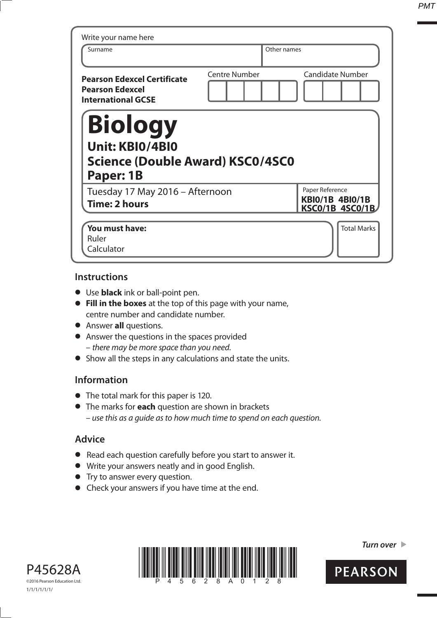| Write your name here<br>Surname<br>Other names                                            |                      |                                                                     |
|-------------------------------------------------------------------------------------------|----------------------|---------------------------------------------------------------------|
| <b>Pearson Edexcel Certificate</b><br><b>Pearson Edexcel</b><br><b>International GCSE</b> | <b>Centre Number</b> | <b>Candidate Number</b>                                             |
| <b>Biology</b><br><b>Unit: KBI0/4BI0</b><br>Science (Double Award) KSC0/4SC0              |                      |                                                                     |
| Paper: 1B                                                                                 |                      |                                                                     |
| Tuesday 17 May 2016 - Afternoon<br><b>Time: 2 hours</b>                                   |                      | Paper Reference<br><b>KBI0/1B 4BI0/1B</b><br><b>KSC0/1B 4SC0/1B</b> |

## **Instructions**

- **•** Use **black** ink or ball-point pen.
- **• Fill in the boxes** at the top of this page with your name, centre number and candidate number.
- **•** Answer **all** questions.
- **•** Answer the questions in the spaces provided – *there may be more space than you need*.
- **•** Show all the steps in any calculations and state the units.

## **Information**

- **•** The total mark for this paper is 120.
- **•** The marks for **each** question are shown in brackets *– use this as a guide as to how much time to spend on each question.*

## **Advice**

- **•** Read each question carefully before you start to answer it.
- **•** Write your answers neatly and in good English.
- **•** Try to answer every question.
- **•** Check your answers if you have time at the end.





*Turn over* 

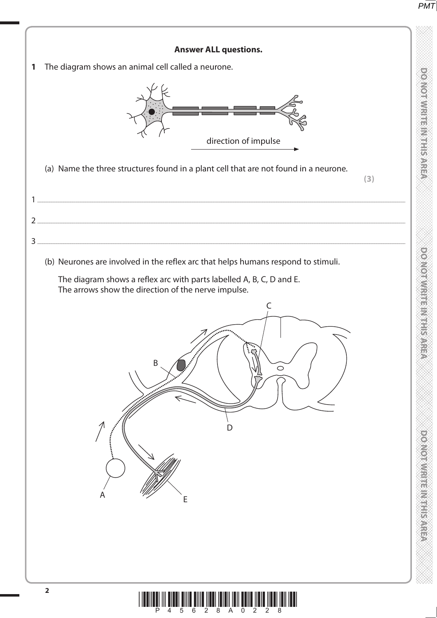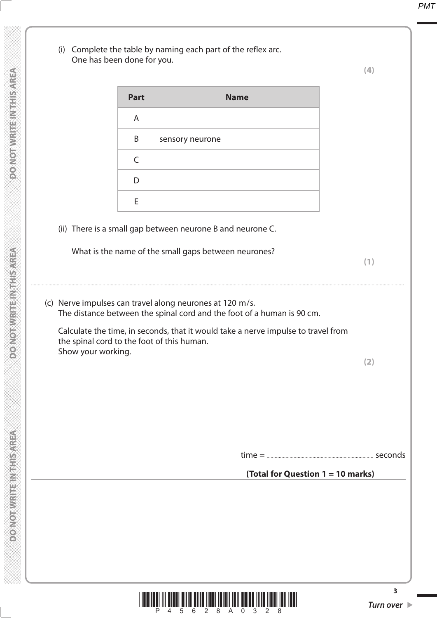

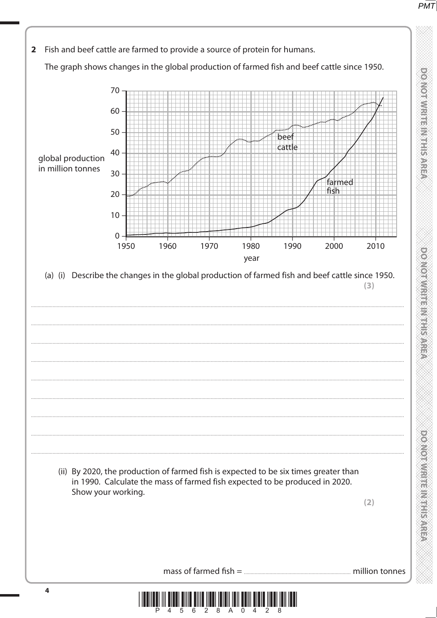

**Monday Communist Property Service**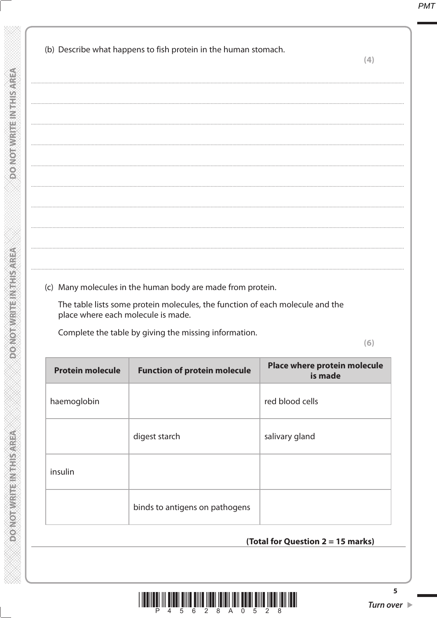| (4) |
|-----|
|     |
|     |
|     |
|     |
|     |
|     |
|     |
|     |

The table lists some protein molecules, the function of each molecule and the place where each molecule is made.

Complete the table by giving the missing information.

 $(6)$ 

| <b>Protein molecule</b> | <b>Function of protein molecule</b> | Place where protein molecule<br>is made |
|-------------------------|-------------------------------------|-----------------------------------------|
| haemoglobin             |                                     | red blood cells                         |
|                         | digest starch                       | salivary gland                          |
| insulin                 |                                     |                                         |
|                         | binds to antigens on pathogens      |                                         |

## (Total for Question 2 = 15 marks)

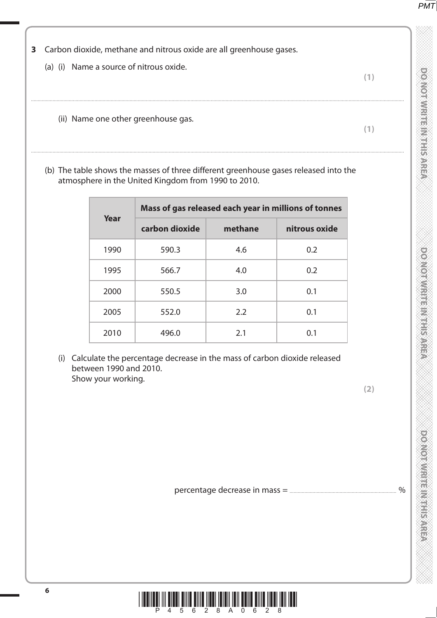**(1)**

**(1)**

- **3** Carbon dioxide, methane and nitrous oxide are all greenhouse gases.
	- (a) (i) Name a source of nitrous oxide.
		- (ii) Name one other greenhouse gas.
	- (b) The table shows the masses of three different greenhouse gases released into the atmosphere in the United Kingdom from 1990 to 2010.

....................................................................................................................................................................................................................................................................................

....................................................................................................................................................................................................................................................................................

|      | Mass of gas released each year in millions of tonnes |         |               |
|------|------------------------------------------------------|---------|---------------|
| Year | carbon dioxide                                       | methane | nitrous oxide |
| 1990 | 590.3                                                | 4.6     | 0.2           |
| 1995 | 566.7                                                | 4.0     | 0.2           |
| 2000 | 550.5                                                | 3.0     | 0.1           |
| 2005 | 552.0                                                | 2.2     | 0.1           |
| 2010 | 496.0                                                | 2.1     | 0.1           |

 (i) Calculate the percentage decrease in the mass of carbon dioxide released between 1990 and 2010. Show your working.

**(2)**

percentage decrease in mass = ............................................................................... %

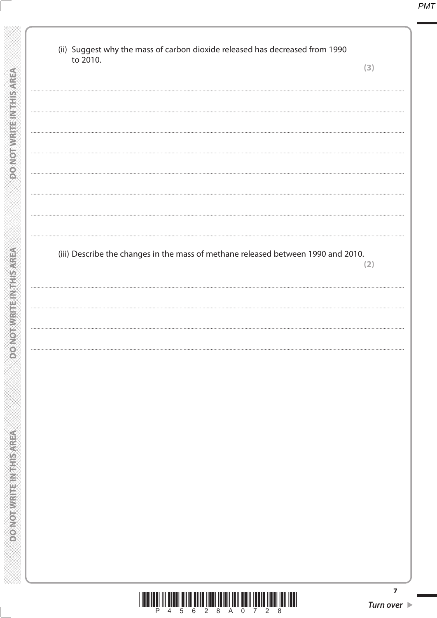(ii) Suggest why the mass of carbon dioxide released has decreased from 1990 to 2010.  $(3)$ **DONOT WRITE IN THIS AREA DOWOTWRITE INTHIS AREA** (iii) Describe the changes in the mass of methane released between 1990 and 2010.  $(2)$ **DO NOT WRITEIN THIS AREA**  $\overline{7}$ 

<u>mi În Millîmê Milîmî Milîmî Milîmî Millîmî Millîmî Millî</u>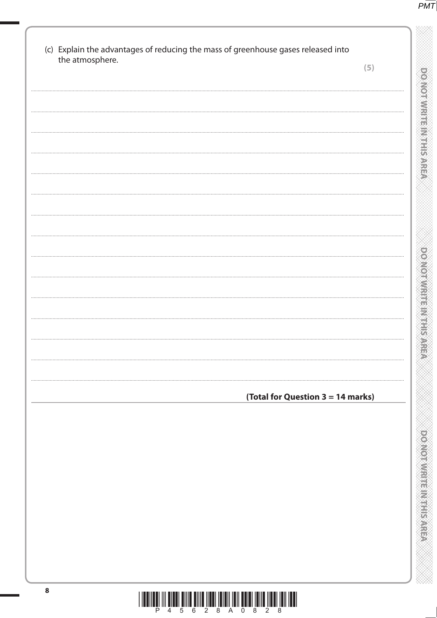| ۹ |  |
|---|--|
|   |  |

| the atmosphere.                   | (5) |
|-----------------------------------|-----|
|                                   |     |
|                                   | .   |
|                                   |     |
|                                   |     |
|                                   |     |
|                                   |     |
|                                   |     |
|                                   |     |
|                                   |     |
|                                   |     |
|                                   |     |
|                                   |     |
|                                   |     |
|                                   |     |
|                                   |     |
|                                   |     |
|                                   |     |
|                                   |     |
|                                   |     |
|                                   |     |
|                                   |     |
| (Total for Question 3 = 14 marks) |     |
|                                   |     |
|                                   |     |
|                                   |     |
|                                   |     |
|                                   |     |
|                                   |     |
|                                   |     |
|                                   |     |
|                                   |     |
|                                   |     |
|                                   |     |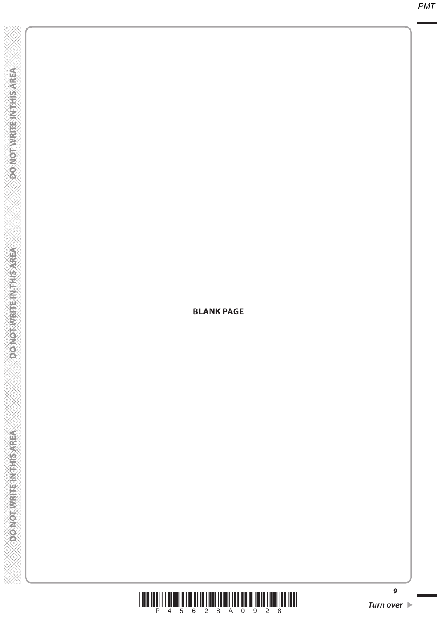



**9**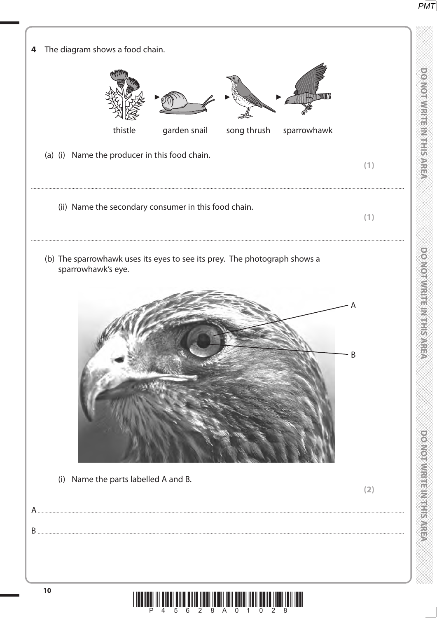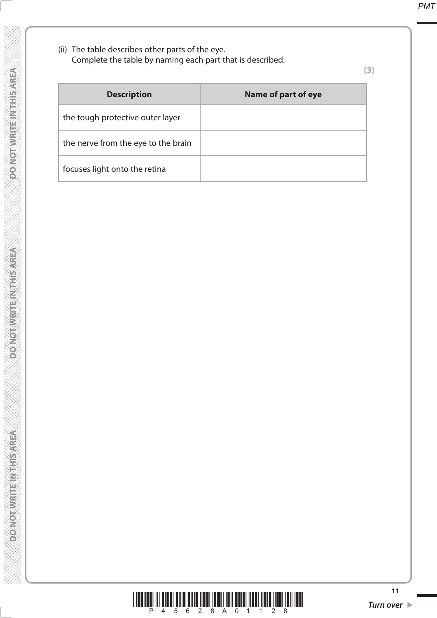**(3)**

 (ii) The table describes other parts of the eye. Complete the table by naming each part that is described.

**Description Name of part of eye** the tough protective outer layer the nerve from the eye to the brain focuses light onto the retina

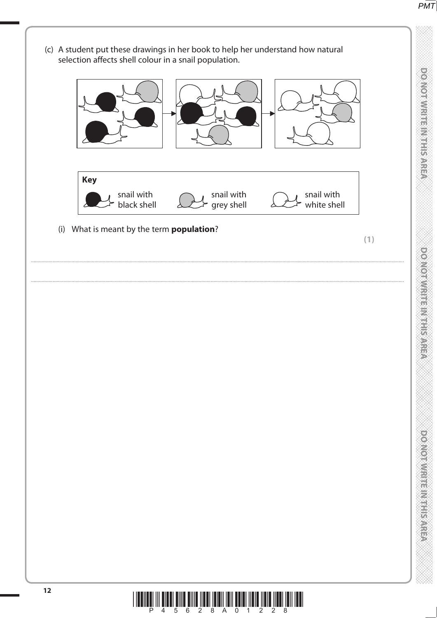

**DO NOT WRITE IN THIS AREA**

**DO NOT WRITER MITHS AREA**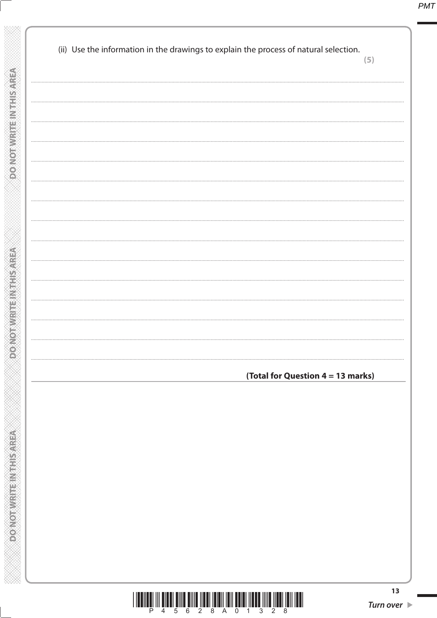|          | (ii) Use the information in the drawings to explain the process of natural selection.                                                                                       | (5)                             |
|----------|-----------------------------------------------------------------------------------------------------------------------------------------------------------------------------|---------------------------------|
|          |                                                                                                                                                                             |                                 |
|          |                                                                                                                                                                             |                                 |
|          |                                                                                                                                                                             |                                 |
|          |                                                                                                                                                                             |                                 |
|          |                                                                                                                                                                             |                                 |
|          |                                                                                                                                                                             |                                 |
|          |                                                                                                                                                                             |                                 |
|          |                                                                                                                                                                             |                                 |
|          |                                                                                                                                                                             |                                 |
|          |                                                                                                                                                                             |                                 |
|          |                                                                                                                                                                             |                                 |
|          |                                                                                                                                                                             |                                 |
|          |                                                                                                                                                                             |                                 |
|          |                                                                                                                                                                             |                                 |
| $\cdots$ |                                                                                                                                                                             |                                 |
|          |                                                                                                                                                                             |                                 |
|          | (Total for Question 4 = 13 marks)                                                                                                                                           |                                 |
|          |                                                                                                                                                                             |                                 |
|          |                                                                                                                                                                             |                                 |
|          |                                                                                                                                                                             |                                 |
|          |                                                                                                                                                                             |                                 |
|          |                                                                                                                                                                             |                                 |
|          |                                                                                                                                                                             |                                 |
|          |                                                                                                                                                                             |                                 |
|          |                                                                                                                                                                             |                                 |
|          |                                                                                                                                                                             |                                 |
|          |                                                                                                                                                                             |                                 |
|          |                                                                                                                                                                             | 13                              |
|          | <u> HELLININ</u><br>$\overline{4}$<br>$\overline{5}$<br>$\overline{6}$<br>$\frac{1}{2}$<br>$\overline{8}$<br>A<br>$\overline{0}$<br>$\overline{3}$<br>$\overline{1}$<br>2 8 | Turn over $\blacktriangleright$ |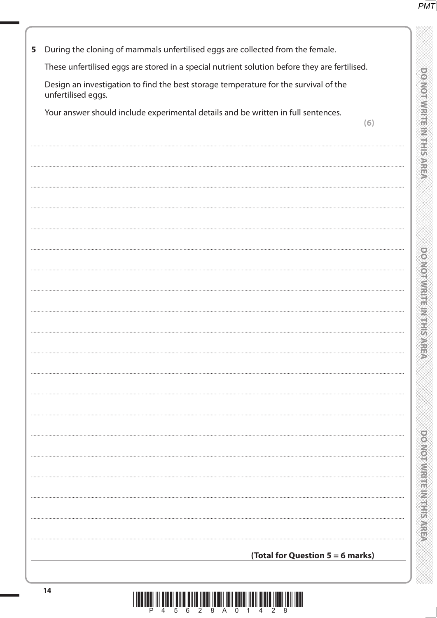RRAND STRAKT STRAKT STRAKT STRAKT STRAKT STRAKT STRAKT.

XXXXX

| 5 | During the cloning of mammals unfertilised eggs are collected from the female.                             |     |
|---|------------------------------------------------------------------------------------------------------------|-----|
|   | These unfertilised eggs are stored in a special nutrient solution before they are fertilised.              |     |
|   | Design an investigation to find the best storage temperature for the survival of the<br>unfertilised eggs. |     |
|   | Your answer should include experimental details and be written in full sentences.                          | (6) |
|   |                                                                                                            |     |
|   |                                                                                                            |     |
|   |                                                                                                            |     |
|   |                                                                                                            |     |
|   |                                                                                                            |     |
|   |                                                                                                            |     |
|   |                                                                                                            |     |
|   |                                                                                                            |     |
|   |                                                                                                            |     |
|   |                                                                                                            |     |
|   |                                                                                                            |     |
|   |                                                                                                            |     |
|   |                                                                                                            |     |
|   |                                                                                                            |     |
|   |                                                                                                            |     |
|   |                                                                                                            |     |
|   |                                                                                                            |     |
|   |                                                                                                            |     |
|   |                                                                                                            |     |
|   |                                                                                                            |     |
|   |                                                                                                            |     |
|   | (Total for Question 5 = 6 marks)                                                                           |     |
|   |                                                                                                            |     |

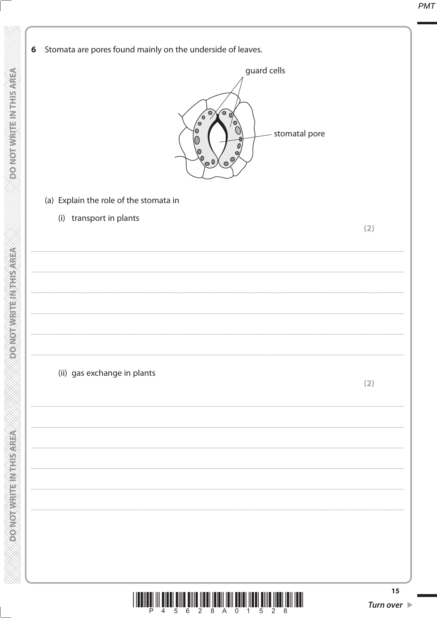

P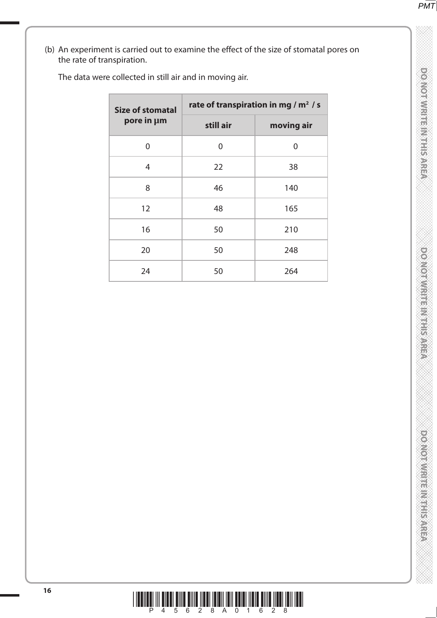**DO NOT WRITE IN THIS AREA**

DOMOTWRITE IN THIS AREA

**DO NOT WRITE IN THIS AREA** 

**DOMOTIVISTIC MERICAN SARRA** 

**DO NOT WRITE IN THIS AREA**

**DO NOT WRITER MITHS AREA** 

(b) An experiment is carried out to examine the effect of the size of stomatal pores on the rate of transpiration.

| The data were collected in still air and in moving air. |  |
|---------------------------------------------------------|--|

| <b>Size of stomatal</b> | rate of transpiration in mg / $m2$ / s |            |
|-------------------------|----------------------------------------|------------|
| pore in um              | still air                              | moving air |
| 0                       | 0                                      | 0          |
| $\overline{4}$          | 22                                     | 38         |
| 8                       | 46                                     | 140        |
| 12                      | 48                                     | 165        |
| 16                      | 50                                     | 210        |
| 20                      | 50                                     | 248        |
| 24                      | 50                                     | 264        |

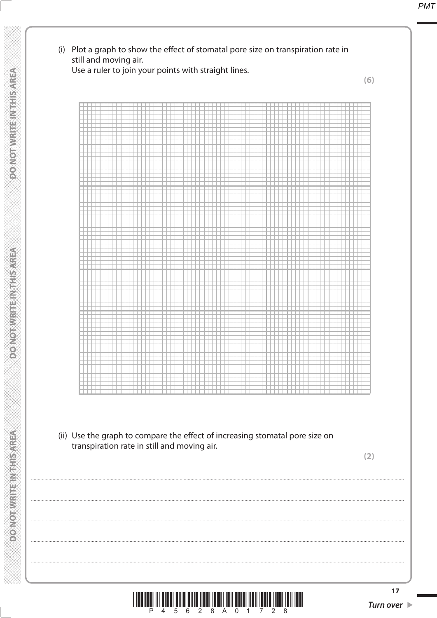(i) Plot a graph to show the effect of stomatal pore size on transpiration rate in still and moving air. Use a ruler to join your points with straight lines.  $(6)$ (ii) Use the graph to compare the effect of increasing stomatal pore size on transpiration rate in still and moving air.  $(2)$ 

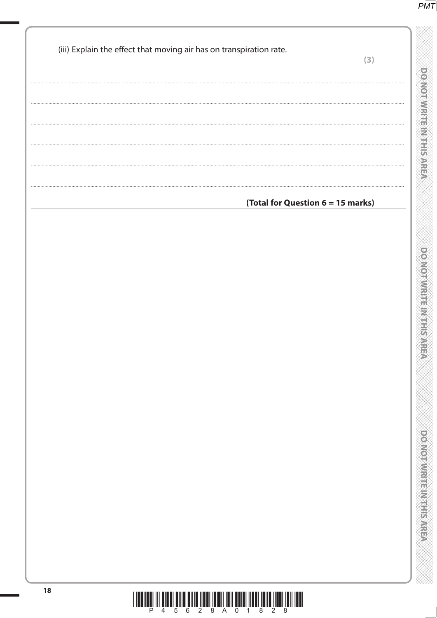|        | (iii) Explain the effect that moving air has on transpiration rate. | (3) |
|--------|---------------------------------------------------------------------|-----|
|        |                                                                     |     |
|        |                                                                     |     |
|        |                                                                     |     |
|        | (Total for Question 6 = 15 marks)                                   |     |
|        |                                                                     |     |
|        |                                                                     |     |
|        |                                                                     |     |
|        |                                                                     |     |
|        |                                                                     |     |
|        |                                                                     |     |
|        |                                                                     |     |
|        |                                                                     |     |
|        |                                                                     |     |
| $18\,$ |                                                                     |     |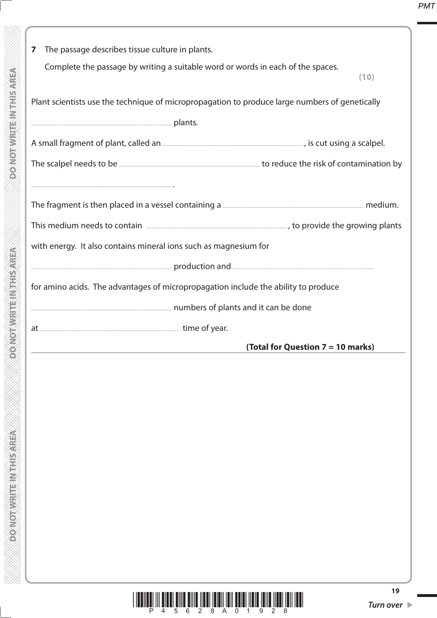| The passage describes tissue culture in plants.<br>7<br>Complete the passage by writing a suitable word or words in each of the spaces.<br>(10)<br>Plant scientists use the technique of micropropagation to produce large numbers of genetically |  |
|---------------------------------------------------------------------------------------------------------------------------------------------------------------------------------------------------------------------------------------------------|--|
|                                                                                                                                                                                                                                                   |  |
|                                                                                                                                                                                                                                                   |  |
|                                                                                                                                                                                                                                                   |  |
|                                                                                                                                                                                                                                                   |  |
|                                                                                                                                                                                                                                                   |  |
|                                                                                                                                                                                                                                                   |  |
|                                                                                                                                                                                                                                                   |  |
|                                                                                                                                                                                                                                                   |  |
|                                                                                                                                                                                                                                                   |  |
|                                                                                                                                                                                                                                                   |  |
| This medium needs to contain <b>Election</b> 2008 10 million 2015 10 million 2016 10 million 2016 10 million 2016 10 million 2016                                                                                                                 |  |
| with energy. It also contains mineral ions such as magnesium for                                                                                                                                                                                  |  |
|                                                                                                                                                                                                                                                   |  |
| for amino acids. The advantages of micropropagation include the ability to produce                                                                                                                                                                |  |
|                                                                                                                                                                                                                                                   |  |
|                                                                                                                                                                                                                                                   |  |
|                                                                                                                                                                                                                                                   |  |
| (Total for Question 7 = 10 marks)                                                                                                                                                                                                                 |  |

**DO NOT WRITE IN THIS AREA DO NOT WRITE IN THIS AREA DO NOT WRITE IN THIS AREA**

**A SHEET MEETING AND TO A SHEET** 

**DONOTWRITEIN THIS AREA** 

**DO NOT WRITE IN THIS AREA** 

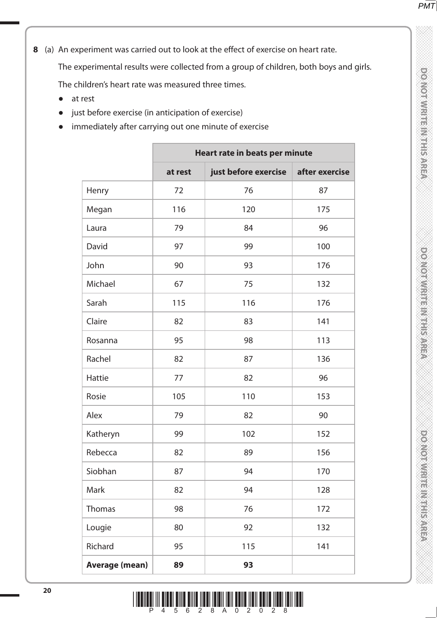**8** (a) An experiment was carried out to look at the effect of exercise on heart rate.

The experimental results were collected from a group of children, both boys and girls.

The children's heart rate was measured three times.

- at rest
- just before exercise (in anticipation of exercise)
- immediately after carrying out one minute of exercise

|                       | Heart rate in beats per minute |                      |                |
|-----------------------|--------------------------------|----------------------|----------------|
|                       | at rest                        | just before exercise | after exercise |
| Henry                 | 72                             | 76                   | 87             |
| Megan                 | 116                            | 120                  | 175            |
| Laura                 | 79                             | 84                   | 96             |
| David                 | 97                             | 99                   | 100            |
| John                  | 90                             | 93                   | 176            |
| Michael               | 67                             | 75                   | 132            |
| Sarah                 | 115                            | 116                  | 176            |
| Claire                | 82                             | 83                   | 141            |
| Rosanna               | 95                             | 98                   | 113            |
| Rachel                | 82                             | 87                   | 136            |
| Hattie                | 77                             | 82                   | 96             |
| Rosie                 | 105                            | 110                  | 153            |
| Alex                  | 79                             | 82                   | 90             |
| Katheryn              | 99                             | 102                  | 152            |
| Rebecca               | 82                             | 89                   | 156            |
| Siobhan               | 87                             | 94                   | 170            |
| Mark                  | 82                             | 94                   | 128            |
| <b>Thomas</b>         | 98                             | 76                   | 172            |
| Lougie                | 80                             | 92                   | 132            |
| Richard               | 95                             | 115                  | 141            |
| <b>Average (mean)</b> | 89                             | 93                   |                |

**DO NOT WRITE IN THIS AREA** 

DOMOTIVISTIC METRICAREA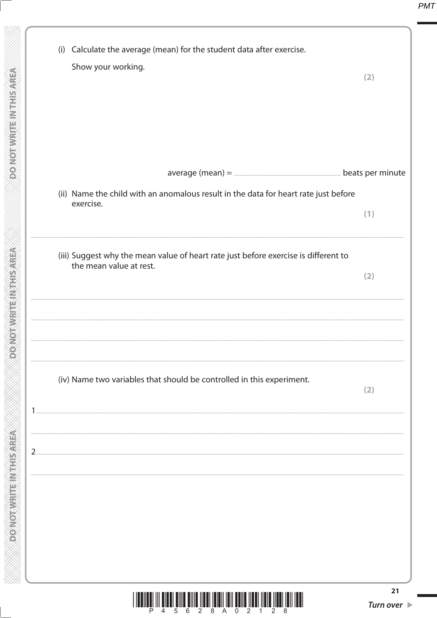| (i) Calculate the average (mean) for the student data after exercise.<br>Show your working.      | (2) |
|--------------------------------------------------------------------------------------------------|-----|
|                                                                                                  |     |
|                                                                                                  |     |
|                                                                                                  |     |
| (ii) Name the child with an anomalous result in the data for heart rate just before<br>exercise. |     |
|                                                                                                  | (1) |
|                                                                                                  |     |
| (iii) Suggest why the mean value of heart rate just before exercise is different to              |     |
| the mean value at rest.                                                                          | (2) |
|                                                                                                  |     |
|                                                                                                  |     |
|                                                                                                  |     |
|                                                                                                  |     |
|                                                                                                  |     |
| (iv) Name two variables that should be controlled in this experiment.                            | (2) |
|                                                                                                  |     |
|                                                                                                  |     |
|                                                                                                  |     |
|                                                                                                  |     |
|                                                                                                  |     |
|                                                                                                  |     |
|                                                                                                  |     |
|                                                                                                  |     |
|                                                                                                  |     |
|                                                                                                  |     |

**DO NOT WRITE IN THIS AREA** 

**DONOT WRITEIN THIS AREA** 

**ASSAM AND MANAGEMENT**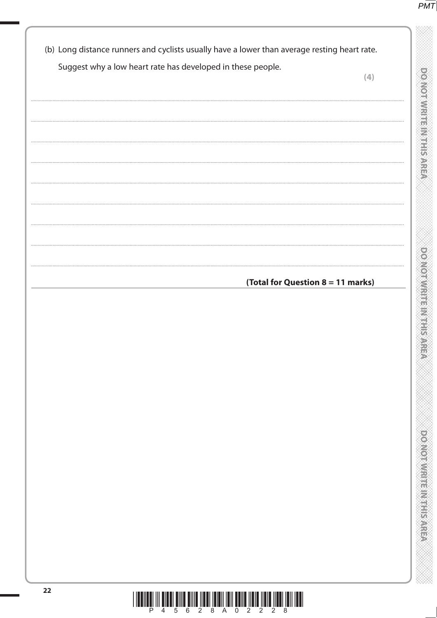| Suggest why a low heart rate has developed in these people. |                                   |
|-------------------------------------------------------------|-----------------------------------|
|                                                             | (4)                               |
|                                                             |                                   |
|                                                             |                                   |
|                                                             |                                   |
|                                                             |                                   |
|                                                             |                                   |
|                                                             |                                   |
|                                                             |                                   |
|                                                             |                                   |
|                                                             |                                   |
|                                                             |                                   |
|                                                             |                                   |
|                                                             |                                   |
|                                                             |                                   |
|                                                             |                                   |
|                                                             | (Total for Question 8 = 11 marks) |
|                                                             |                                   |
|                                                             |                                   |
|                                                             |                                   |
|                                                             |                                   |
|                                                             |                                   |
|                                                             |                                   |
|                                                             |                                   |
|                                                             |                                   |
|                                                             |                                   |
|                                                             |                                   |
|                                                             |                                   |
|                                                             |                                   |
|                                                             |                                   |
|                                                             |                                   |
|                                                             |                                   |
|                                                             |                                   |
|                                                             |                                   |
|                                                             |                                   |
|                                                             |                                   |
|                                                             |                                   |
|                                                             |                                   |
|                                                             |                                   |
|                                                             |                                   |
|                                                             |                                   |
|                                                             |                                   |
|                                                             |                                   |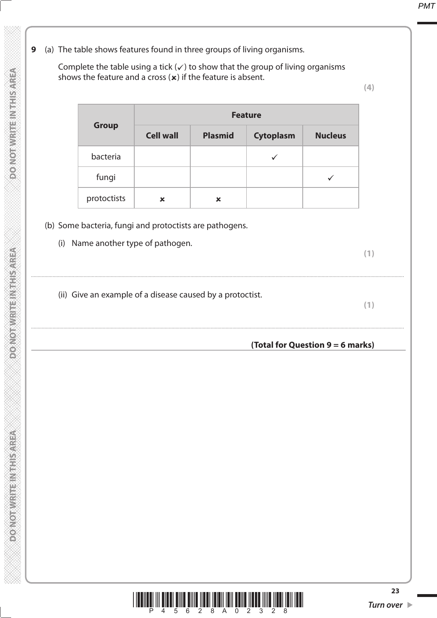**9** (a) The table shows features found in three groups of living organisms. Complete the table using a tick  $(v)$  to show that the group of living organisms shows the feature and a cross  $(x)$  if the feature is absent. **(4) Group Feature Cell wall Plasmid Cytoplasm Nucleus** bacteria and the set of the set of the set of the set of the set of the set of the set of the set of the set o fungi |  $\sqrt{2}$ protoctists  $\mathbf{x}$   $\mathbf{x}$ (b) Some bacteria, fungi and protoctists are pathogens. (i) Name another type of pathogen. **(1)** .................................................................................................................................................................................................................................................................................... (ii) Give an example of a disease caused by a protoctist. **(1)** .................................................................................................................................................................................................................................................................................... **(Total for Question 9 = 6 marks)**

**DO NOT WRITE IN THIS AREA DO NOT WRITE IN THIS AREA DO NOT WRITE IN THIS AREA**

**MERINE IN A REPORT OF A RIGHT** 

**PONOT WRITEINTHIS AREA** 

**DONOT WRITE IN THIS AREA** 

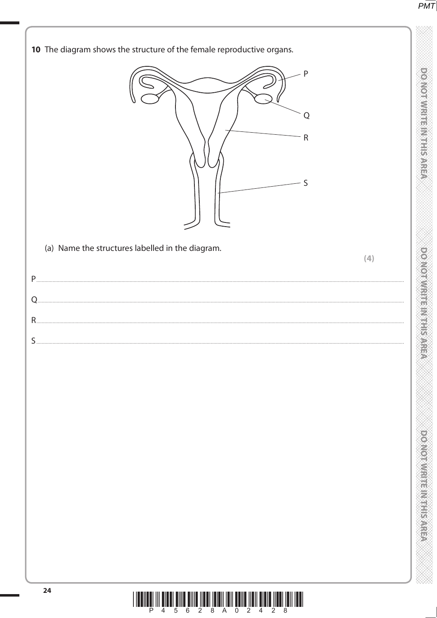| 10 The diagram shows the structure of the female reproductive organs.<br>P<br>Q<br>$\mathsf{R}$<br>S |     |
|------------------------------------------------------------------------------------------------------|-----|
| (a) Name the structures labelled in the diagram.                                                     | (4) |
|                                                                                                      |     |
|                                                                                                      |     |
|                                                                                                      |     |
| S.                                                                                                   |     |
|                                                                                                      |     |
|                                                                                                      |     |
|                                                                                                      |     |
|                                                                                                      |     |
|                                                                                                      |     |
|                                                                                                      |     |
|                                                                                                      |     |
|                                                                                                      |     |
|                                                                                                      |     |
|                                                                                                      |     |
|                                                                                                      |     |
|                                                                                                      |     |

**DOMOTWRITE INTHIS AREA** 

DOMOTHWREEN STREET RRANAN RANAN

**DOMOTAMENT IN THIS AREA** 

RRANDER RANDER KAN

10000000

e de la composición de la composición de la composición de la composición de la composición de la composición<br>La composición de la composición de la composición de la composición de la composición de la composición de la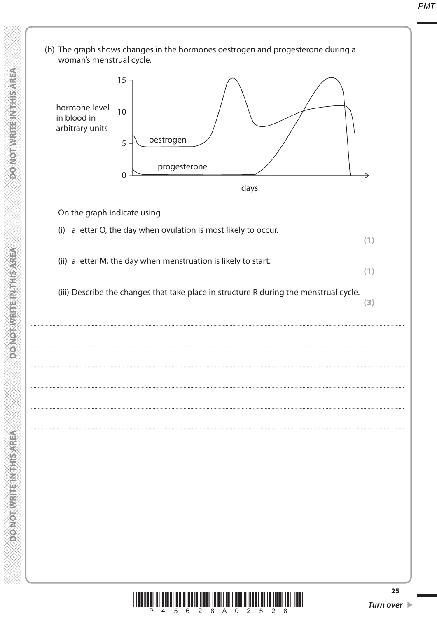(b) The graph shows changes in the hormones oestrogen and progesterone during a woman's menstrual cycle. 15 hormone level  $10$ in blood in arbitrary units oestrogen 5 progesterone  $\Omega$ days On the graph indicate using (i) a letter O, the day when ovulation is most likely to occur.  $(1)$ (ii) a letter M, the day when menstruation is likely to start.  $(1)$ (iii) Describe the changes that take place in structure R during the menstrual cycle.  $(3)$  $25$ 

**DO NOT WRITE INTHIS AREA** 

**ROAD CARD METHEMATER** 

**MERING IN A REPORT OF A REPORT**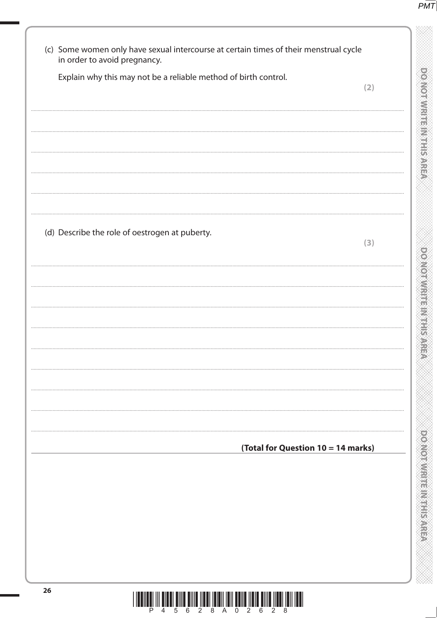| ۹ |  |
|---|--|

| Explain why this may not be a reliable method of birth control. | (2)                                |
|-----------------------------------------------------------------|------------------------------------|
|                                                                 |                                    |
|                                                                 |                                    |
|                                                                 |                                    |
|                                                                 |                                    |
|                                                                 |                                    |
|                                                                 |                                    |
|                                                                 |                                    |
|                                                                 |                                    |
|                                                                 |                                    |
| (d) Describe the role of oestrogen at puberty.                  |                                    |
|                                                                 | (3)                                |
|                                                                 |                                    |
|                                                                 |                                    |
|                                                                 |                                    |
|                                                                 |                                    |
|                                                                 |                                    |
|                                                                 |                                    |
|                                                                 |                                    |
|                                                                 |                                    |
|                                                                 |                                    |
|                                                                 |                                    |
|                                                                 |                                    |
|                                                                 |                                    |
|                                                                 |                                    |
|                                                                 | (Total for Question 10 = 14 marks) |
|                                                                 |                                    |
|                                                                 |                                    |
|                                                                 |                                    |
|                                                                 |                                    |
|                                                                 |                                    |
|                                                                 |                                    |
|                                                                 |                                    |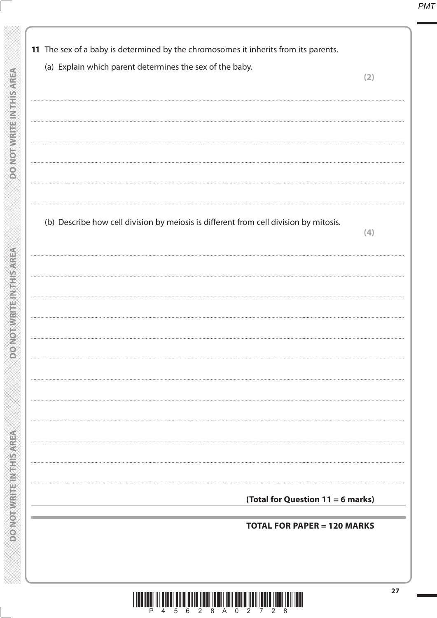| (a) Explain which parent determines the sex of the baby.                              |                                    | (2) |
|---------------------------------------------------------------------------------------|------------------------------------|-----|
|                                                                                       |                                    |     |
|                                                                                       |                                    |     |
|                                                                                       |                                    |     |
|                                                                                       |                                    |     |
|                                                                                       |                                    |     |
| (b) Describe how cell division by meiosis is different from cell division by mitosis. |                                    | (4) |
|                                                                                       |                                    |     |
|                                                                                       |                                    |     |
|                                                                                       |                                    |     |
|                                                                                       |                                    |     |
|                                                                                       |                                    |     |
|                                                                                       |                                    |     |
|                                                                                       |                                    |     |
|                                                                                       |                                    |     |
|                                                                                       |                                    |     |
|                                                                                       |                                    |     |
|                                                                                       |                                    |     |
|                                                                                       |                                    |     |
|                                                                                       | (Total for Question 11 = 6 marks)  |     |
|                                                                                       | <b>TOTAL FOR PAPER = 120 MARKS</b> |     |

**DO NOT WRITE IN THIS AREA** 

**DOWOT WRITEIN THIS AREA** 

**CONOTWRTEINTHIS AREA**